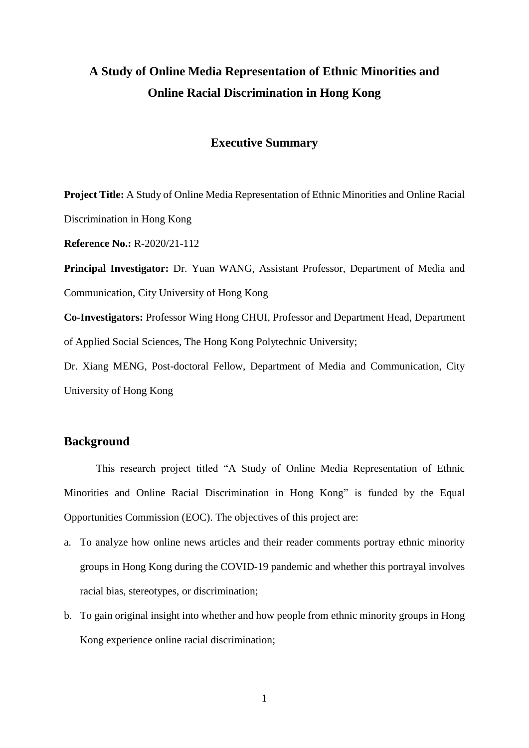# **A Study of Online Media Representation of Ethnic Minorities and Online Racial Discrimination in Hong Kong**

# **Executive Summary**

**Project Title:** A Study of Online Media Representation of Ethnic Minorities and Online Racial Discrimination in Hong Kong

**Reference No.:** R-2020/21-112

**Principal Investigator:** Dr. Yuan WANG, Assistant Professor, Department of Media and Communication, City University of Hong Kong

**Co-Investigators:** Professor Wing Hong CHUI, Professor and Department Head, Department of Applied Social Sciences, The Hong Kong Polytechnic University;

Dr. Xiang MENG, Post-doctoral Fellow, Department of Media and Communication, City University of Hong Kong

## **Background**

This research project titled "A Study of Online Media Representation of Ethnic Minorities and Online Racial Discrimination in Hong Kong" is funded by the Equal Opportunities Commission (EOC). The objectives of this project are:

- a. To analyze how online news articles and their reader comments portray ethnic minority groups in Hong Kong during the COVID-19 pandemic and whether this portrayal involves racial bias, stereotypes, or discrimination;
- b. To gain original insight into whether and how people from ethnic minority groups in Hong Kong experience online racial discrimination;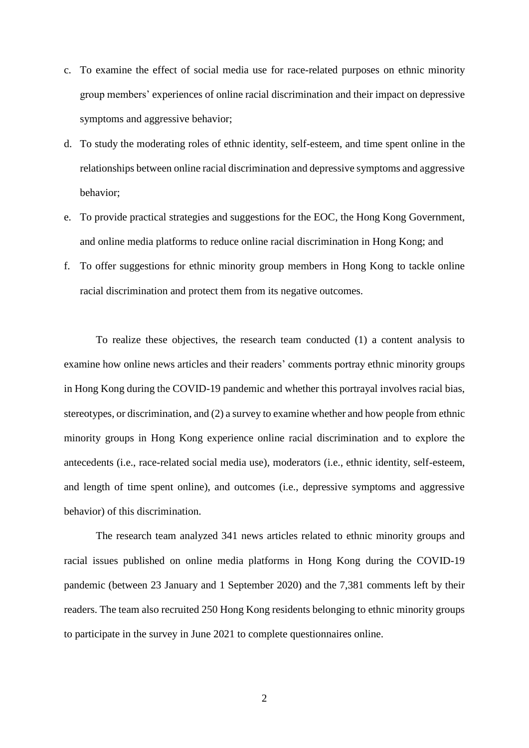- c. To examine the effect of social media use for race-related purposes on ethnic minority group members' experiences of online racial discrimination and their impact on depressive symptoms and aggressive behavior;
- d. To study the moderating roles of ethnic identity, self-esteem, and time spent online in the relationships between online racial discrimination and depressive symptoms and aggressive behavior;
- e. To provide practical strategies and suggestions for the EOC, the Hong Kong Government, and online media platforms to reduce online racial discrimination in Hong Kong; and
- f. To offer suggestions for ethnic minority group members in Hong Kong to tackle online racial discrimination and protect them from its negative outcomes.

To realize these objectives, the research team conducted (1) a content analysis to examine how online news articles and their readers' comments portray ethnic minority groups in Hong Kong during the COVID-19 pandemic and whether this portrayal involves racial bias, stereotypes, or discrimination, and (2) a survey to examine whether and how people from ethnic minority groups in Hong Kong experience online racial discrimination and to explore the antecedents (i.e., race-related social media use), moderators (i.e., ethnic identity, self-esteem, and length of time spent online), and outcomes (i.e., depressive symptoms and aggressive behavior) of this discrimination.

The research team analyzed 341 news articles related to ethnic minority groups and racial issues published on online media platforms in Hong Kong during the COVID-19 pandemic (between 23 January and 1 September 2020) and the 7,381 comments left by their readers. The team also recruited 250 Hong Kong residents belonging to ethnic minority groups to participate in the survey in June 2021 to complete questionnaires online.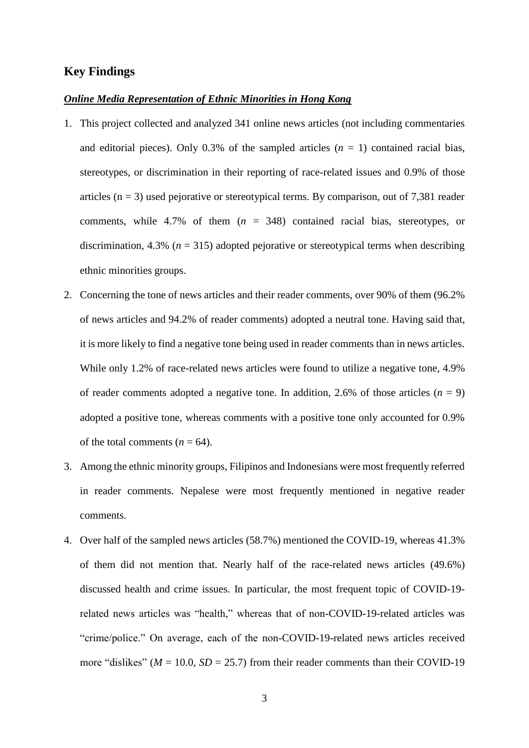## **Key Findings**

#### *Online Media Representation of Ethnic Minorities in Hong Kong*

- 1. This project collected and analyzed 341 online news articles (not including commentaries and editorial pieces). Only 0.3% of the sampled articles  $(n = 1)$  contained racial bias, stereotypes, or discrimination in their reporting of race-related issues and 0.9% of those articles ( $n = 3$ ) used pejorative or stereotypical terms. By comparison, out of 7,381 reader comments, while 4.7% of them (*n* = 348) contained racial bias, stereotypes, or discrimination, 4.3% ( $n = 315$ ) adopted pejorative or stereotypical terms when describing ethnic minorities groups.
- 2. Concerning the tone of news articles and their reader comments, over 90% of them (96.2% of news articles and 94.2% of reader comments) adopted a neutral tone. Having said that, it is more likely to find a negative tone being used in reader comments than in news articles. While only 1.2% of race-related news articles were found to utilize a negative tone, 4.9% of reader comments adopted a negative tone. In addition, 2.6% of those articles  $(n = 9)$ adopted a positive tone, whereas comments with a positive tone only accounted for 0.9% of the total comments  $(n = 64)$ .
- 3. Among the ethnic minority groups, Filipinos and Indonesians were most frequently referred in reader comments. Nepalese were most frequently mentioned in negative reader comments.
- 4. Over half of the sampled news articles (58.7%) mentioned the COVID-19, whereas 41.3% of them did not mention that. Nearly half of the race-related news articles (49.6%) discussed health and crime issues. In particular, the most frequent topic of COVID-19 related news articles was "health," whereas that of non-COVID-19-related articles was "crime/police." On average, each of the non-COVID-19-related news articles received more "dislikes" ( $M = 10.0$ ,  $SD = 25.7$ ) from their reader comments than their COVID-19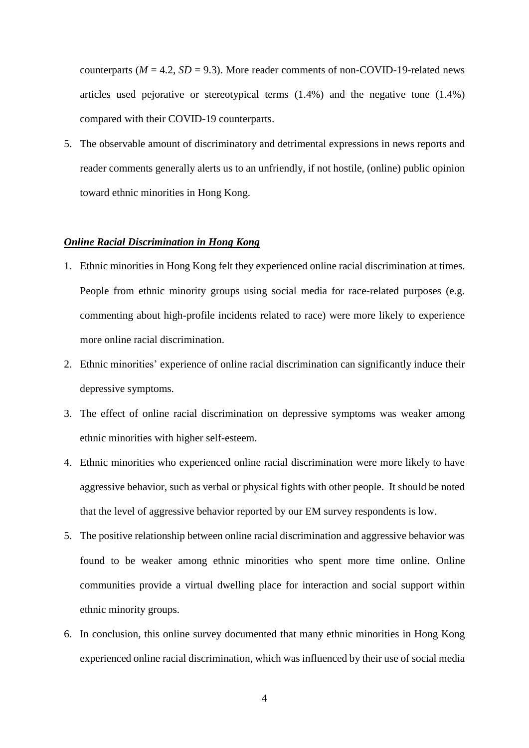counterparts ( $M = 4.2$ ,  $SD = 9.3$ ). More reader comments of non-COVID-19-related news articles used pejorative or stereotypical terms (1.4%) and the negative tone (1.4%) compared with their COVID-19 counterparts.

5. The observable amount of discriminatory and detrimental expressions in news reports and reader comments generally alerts us to an unfriendly, if not hostile, (online) public opinion toward ethnic minorities in Hong Kong.

## *Online Racial Discrimination in Hong Kong*

- 1. Ethnic minorities in Hong Kong felt they experienced online racial discrimination at times. People from ethnic minority groups using social media for race-related purposes (e.g. commenting about high-profile incidents related to race) were more likely to experience more online racial discrimination.
- 2. Ethnic minorities' experience of online racial discrimination can significantly induce their depressive symptoms.
- 3. The effect of online racial discrimination on depressive symptoms was weaker among ethnic minorities with higher self-esteem.
- 4. Ethnic minorities who experienced online racial discrimination were more likely to have aggressive behavior, such as verbal or physical fights with other people. It should be noted that the level of aggressive behavior reported by our EM survey respondents is low.
- 5. The positive relationship between online racial discrimination and aggressive behavior was found to be weaker among ethnic minorities who spent more time online. Online communities provide a virtual dwelling place for interaction and social support within ethnic minority groups.
- 6. In conclusion, this online survey documented that many ethnic minorities in Hong Kong experienced online racial discrimination, which was influenced by their use of social media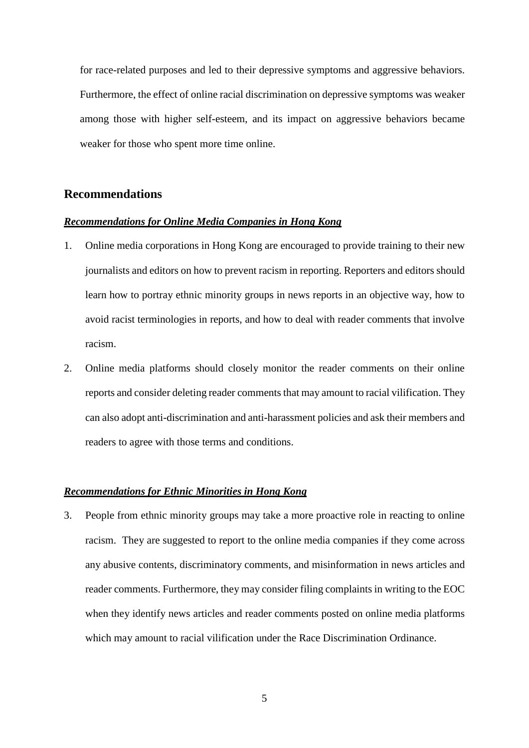for race-related purposes and led to their depressive symptoms and aggressive behaviors. Furthermore, the effect of online racial discrimination on depressive symptoms was weaker among those with higher self-esteem, and its impact on aggressive behaviors became weaker for those who spent more time online.

# **Recommendations**

#### *Recommendations for Online Media Companies in Hong Kong*

- 1. Online media corporations in Hong Kong are encouraged to provide training to their new journalists and editors on how to prevent racism in reporting. Reporters and editors should learn how to portray ethnic minority groups in news reports in an objective way, how to avoid racist terminologies in reports, and how to deal with reader comments that involve racism.
- 2. Online media platforms should closely monitor the reader comments on their online reports and consider deleting reader comments that may amount to racial vilification. They can also adopt anti-discrimination and anti-harassment policies and ask their members and readers to agree with those terms and conditions.

## *Recommendations for Ethnic Minorities in Hong Kong*

3. People from ethnic minority groups may take a more proactive role in reacting to online racism. They are suggested to report to the online media companies if they come across any abusive contents, discriminatory comments, and misinformation in news articles and reader comments. Furthermore, they may consider filing complaints in writing to the EOC when they identify news articles and reader comments posted on online media platforms which may amount to racial vilification under the Race Discrimination Ordinance.